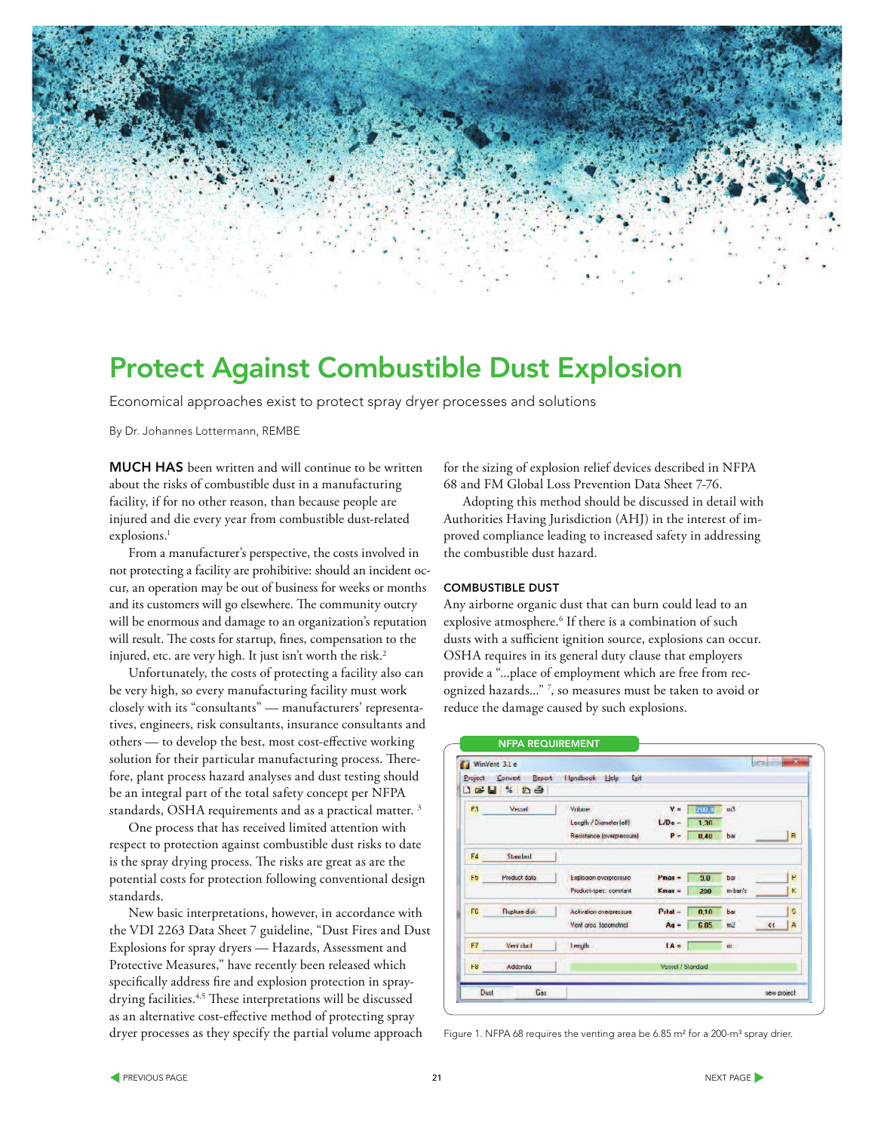

# Protect Against Combustible Dust Explosion

Economical approaches exist to protect spray dryer processes and solutions

By Dr. Johannes Lottermann, REMBE

MUCH HAS been written and will continue to be written about the risks of combustible dust in a manufacturing facility, if for no other reason, than because people are injured and die every year from combustible dust-related explosions.<sup>1</sup>

From a manufacturer's perspective, the costs involved in not protecting a facility are prohibitive: should an incident occur, an operation may be out of business for weeks or months and its customers will go elsewhere. The community outcry will be enormous and damage to an organization's reputation will result. The costs for startup, fines, compensation to the injured, etc. are very high. It just isn't worth the risk.<sup>2</sup>

Unfortunately, the costs of protecting a facility also can be very high, so every manufacturing facility must work closely with its "consultants" — manufacturers' representatives, engineers, risk consultants, insurance consultants and others — to develop the best, most cost-effective working solution for their particular manufacturing process. Therefore, plant process hazard analyses and dust testing should be an integral part of the total safety concept per NFPA standards, OSHA requirements and as a practical matter. <sup>3</sup>

One process that has received limited attention with respect to protection against combustible dust risks to date is the spray drying process. The risks are great as are the potential costs for protection following conventional design standards.

New basic interpretations, however, in accordance with the VDI 2263 Data Sheet 7 guideline, "Dust Fires and Dust Explosions for spray dryers — Hazards, Assessment and Protective Measures," have recently been released which specifically address fire and explosion protection in spraydrying facilities.<sup>4,5</sup> These interpretations will be discussed as an alternative cost-effective method of protecting spray dryer processes as they specify the partial volume approach

for the sizing of explosion relief devices described in NFPA 68 and FM Global Loss Prevention Data Sheet 7-76.

Adopting this method should be discussed in detail with Authorities Having Jurisdiction (AHJ) in the interest of improved compliance leading to increased safety in addressing the combustible dust hazard.

#### COMBUSTIBLE DUST

Any airborne organic dust that can burn could lead to an explosive atmosphere.<sup>6</sup> If there is a combination of such dusts with a sufficient ignition source, explosions can occur. OSHA requires in its general duty clause that employers provide a "...place of employment which are free from recognized hazards..." <sup>7</sup> , so measures must be taken to avoid or reduce the damage caused by such explosions.

| Project        | WinVent 3.1 e<br><b>Report</b><br>Convert<br><b>DEN % DO</b> | Handbook Lielp<br>Exit            |                    |               |                    | scart                        |    |
|----------------|--------------------------------------------------------------|-----------------------------------|--------------------|---------------|--------------------|------------------------------|----|
| F3             | Vecal                                                        | Vokane<br>Length / Diameter (eff) | $V =$<br>$L/De -$  | 200.0<br>1,30 | m <sub>3</sub>     |                              |    |
|                |                                                              | Recistance (overprecoure)         | $P -$              | U, 4U         | bar                |                              | R  |
| F4             | Stended                                                      |                                   |                    |               |                    |                              |    |
| H <sub>b</sub> | <b>Product data</b>                                          | Explosion overpressure            | $P_{\text{max}} =$ | 9.0           | bar                |                              | p  |
|                |                                                              | Product-spec. constant            | $Kmax =$           | 200           | m <sub>bar/s</sub> |                              | K  |
| FG             | <b>Nupture disk</b>                                          | Activation overpressure           | $P$ stat –         | 0,10          | bar                |                              | Ŝ. |
|                |                                                              | Vent area (geometric)             | $Aq -$             | 6.05          | m2                 | $\left\langle \right\rangle$ | Ä  |
| F7             | Vent duct                                                    | <b>Length</b>                     | $IA =$             |               | m                  |                              |    |
| F <sub>8</sub> | Addenda                                                      |                                   | Vessel / Standard  |               |                    |                              |    |
| Dust           | Gas                                                          |                                   |                    |               |                    | new project                  |    |

Figure 1. NFPA 68 requires the venting area be 6.85 m<sup>2</sup> for a 200-m<sup>3</sup> spray drier.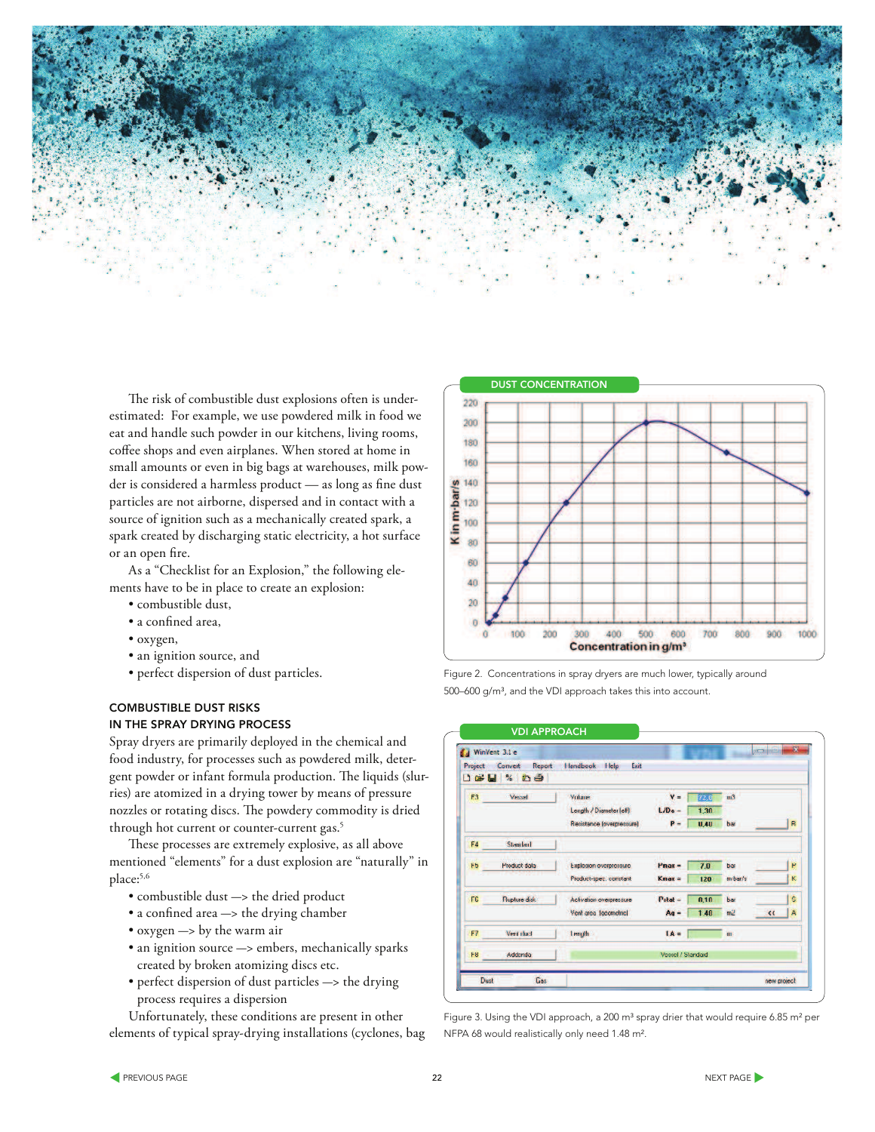

The risk of combustible dust explosions often is underestimated: For example, we use powdered milk in food we eat and handle such powder in our kitchens, living rooms, coffee shops and even airplanes. When stored at home in small amounts or even in big bags at warehouses, milk powder is considered a harmless product — as long as fine dust particles are not airborne, dispersed and in contact with a source of ignition such as a mechanically created spark, a spark created by discharging static electricity, a hot surface or an open fire.

As a "Checklist for an Explosion," the following elements have to be in place to create an explosion:

- combustible dust,
- · a confined area,
- oxygen,
- an ignition source, and
- perfect dispersion of dust particles.

### COMBUSTIBLE DUST RISKS IN THE SPRAY DRYING PROCESS

Spray dryers are primarily deployed in the chemical and food industry, for processes such as powdered milk, detergent powder or infant formula production. The liquids (slurries) are atomized in a drying tower by means of pressure nozzles or rotating discs. The powdery commodity is dried through hot current or counter-current gas.<sup>5</sup>

These processes are extremely explosive, as all above mentioned "elements" for a dust explosion are "naturally" in place:5,6

- $\bullet$  combustible dust  $\rightarrow$  the dried product
- $\bullet$  a confined area  $\rightarrow$  the drying chamber
- $\bullet$  oxygen  $\rightarrow$  by the warm air
- an ignition source  $\rightarrow$  embers, mechanically sparks created by broken atomizing discs etc.
- perfect dispersion of dust particles -> the drying process requires a dispersion

Unfortunately, these conditions are present in other elements of typical spray-drying installations (cyclones, bag





| WinVent 3.1 e<br>Project | Convert<br>Report   | Handbook Help<br>Exit     |                    |        |                    | 59<br><b>BECAUSE</b>   |
|--------------------------|---------------------|---------------------------|--------------------|--------|--------------------|------------------------|
|                          | <b>DGH % 59</b>     |                           |                    |        |                    |                        |
| F3                       | Veccel              | Vokase                    | $V =$              | [72,0] | m <sup>3</sup>     |                        |
|                          |                     | Length / Diameter (eff)   | $L/De -$           | 1,30   |                    |                        |
|                          |                     | Resistance (overpressure) | $P -$              | U.4U   | bar                | R                      |
| F4                       | Standard            |                           |                    |        |                    |                        |
| 65                       | <b>Product data</b> | Explosion overpressure    | $P_{\text{max}} =$ | 7.0    | bar                | p                      |
|                          |                     | Product-spec. constant    | $Kmax =$           | 120    | m <sub>bar/s</sub> | K                      |
| FG                       | <b>Nupture disk</b> | Activation overpressure   | $Pstat =$          | 0.10   | bar                | Ŝ.                     |
|                          |                     | Vent area (geometric)     | $Aq -$             | 1.40   | m2                 | Ä<br>$\leftrightarrow$ |
| F7                       | Vent doct           | <b>Length</b>             | $IA =$             |        | m.                 |                        |
| F8                       | Addenda:            |                           | Vessel / Standard  |        |                    |                        |
| Dust                     | Gas                 |                           |                    |        |                    | new project            |

Figure 3. Using the VDI approach, a 200 m<sup>3</sup> spray drier that would require 6.85 m<sup>2</sup> per NFPA 68 would realistically only need 1.48 m².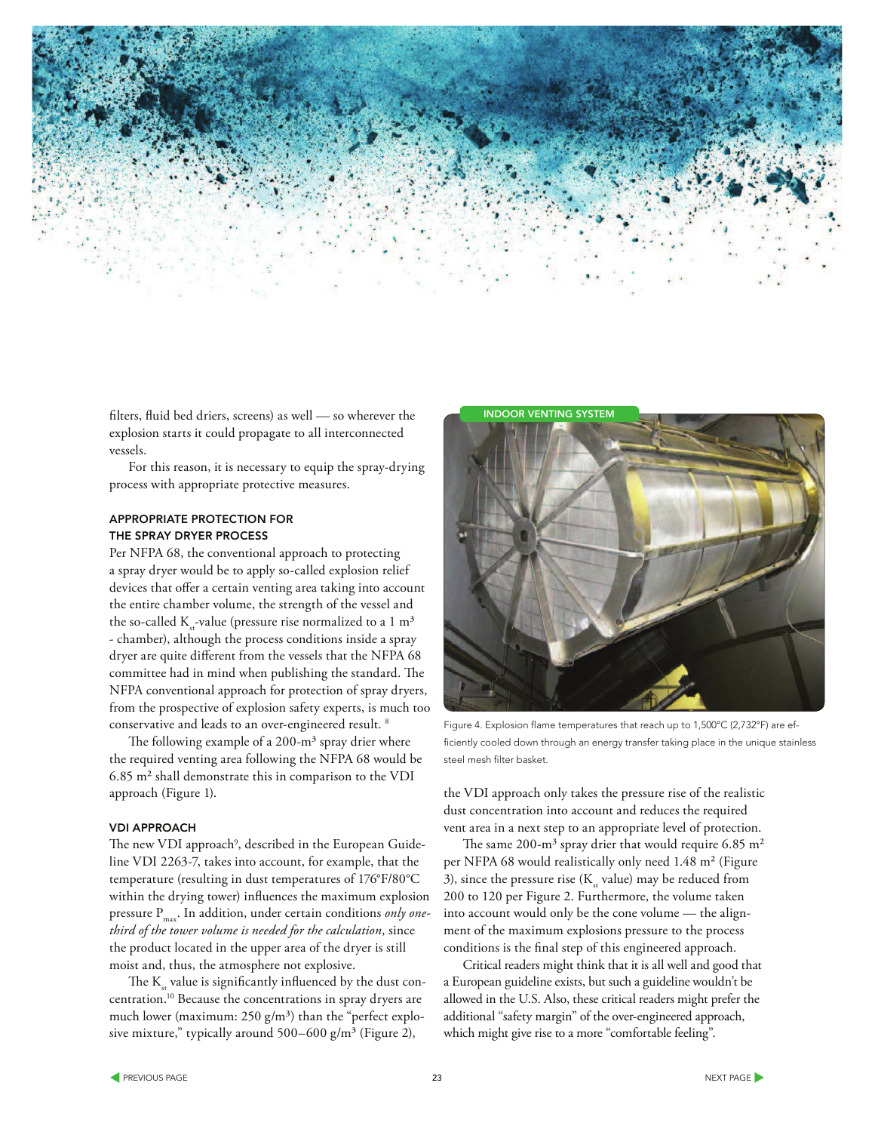

filters, fluid bed driers, screens) as well — so wherever the explosion starts it could propagate to all interconnected vessels.

For this reason, it is necessary to equip the spray-drying process with appropriate protective measures.

## APPROPRIATE PROTECTION FOR THE SPRAY DRYER PROCESS

Per NFPA 68, the conventional approach to protecting a spray dryer would be to apply so-called explosion relief devices that offer a certain venting area taking into account the entire chamber volume, the strength of the vessel and the so-called  $K_{st}$ -value (pressure rise normalized to a 1 m<sup>3</sup> - chamber), although the process conditions inside a spray dryer are quite different from the vessels that the NFPA 68 committee had in mind when publishing the standard. The NFPA conventional approach for protection of spray dryers, from the prospective of explosion safety experts, is much too conservative and leads to an over-engineered result. <sup>8</sup>

The following example of a  $200 \text{--} m^3$  spray drier where the required venting area following the NFPA 68 would be 6.85 m² shall demonstrate this in comparison to the VDI approach (Figure 1).

#### VDI APPROACH

The new VDI approach<sup>9</sup>, described in the European Guideline VDI 2263-7, takes into account, for example, that the temperature (resulting in dust temperatures of 176°F/80°C within the drying tower) influences the maximum explosion pressure P<sub>max</sub>. In addition, under certain conditions *only onethird of the tower volume is needed for the calculation*, since the product located in the upper area of the dryer is still moist and, thus, the atmosphere not explosive.

The  $\mathrm{K}_{_{\mathrm{st}}}$  value is significantly influenced by the dust concentration.<sup>10</sup> Because the concentrations in spray dryers are much lower (maximum:  $250$  g/m<sup>3</sup>) than the "perfect explosive mixture," typically around  $500-600$  g/m<sup>3</sup> (Figure 2),



Figure 4. Explosion flame temperatures that reach up to 1,500°C (2,732°F) are efficiently cooled down through an energy transfer taking place in the unique stainless steel mesh filter basket.

the VDI approach only takes the pressure rise of the realistic dust concentration into account and reduces the required vent area in a next step to an appropriate level of protection.

The same 200-m<sup>3</sup> spray drier that would require 6.85 m<sup>2</sup> per NFPA 68 would realistically only need 1.48 m² (Figure 3), since the pressure rise ( $K_{\rm st}$  value) may be reduced from 200 to 120 per Figure 2. Furthermore, the volume taken into account would only be the cone volume — the alignment of the maximum explosions pressure to the process conditions is the final step of this engineered approach.

Critical readers might think that it is all well and good that a European guideline exists, but such a guideline wouldn't be allowed in the U.S. Also, these critical readers might prefer the additional "safety margin" of the over-engineered approach, which might give rise to a more "comfortable feeling".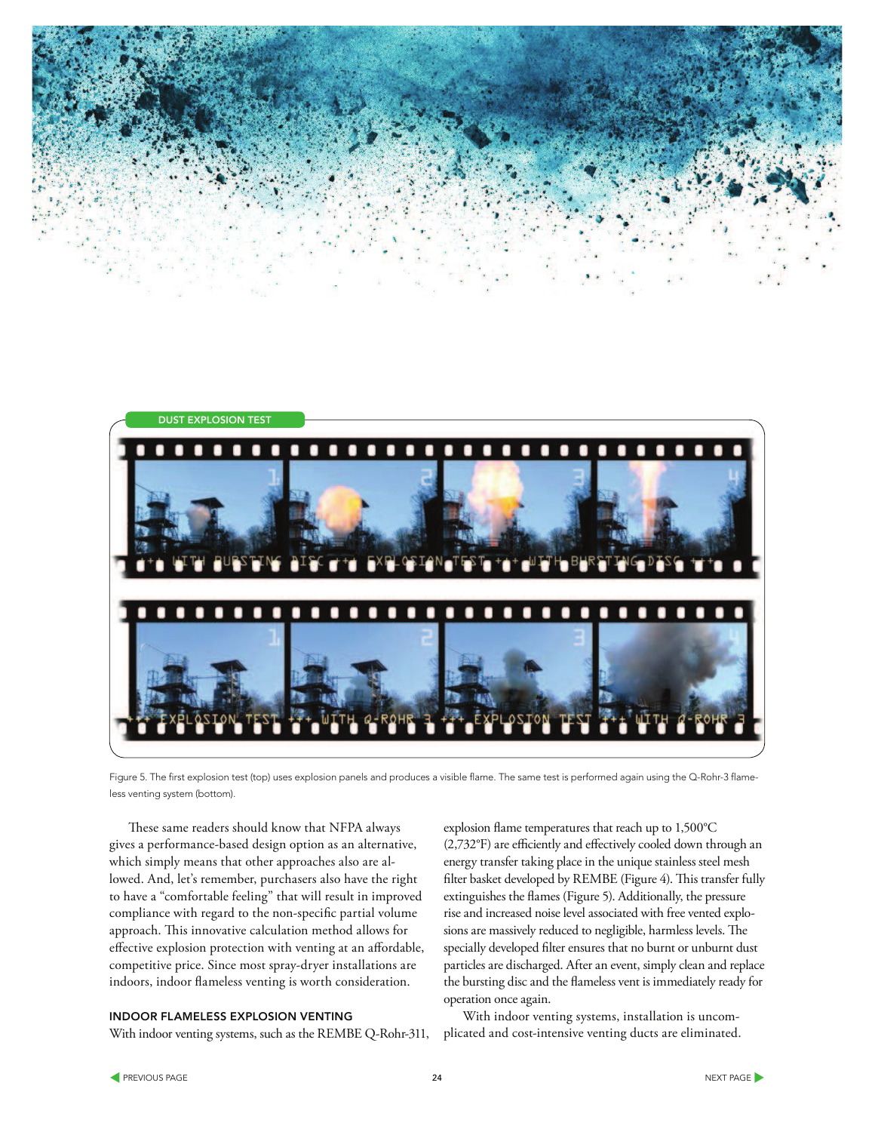



Figure 5. The first explosion test (top) uses explosion panels and produces a visible flame. The same test is performed again using the Q-Rohr-3 flameless venting system (bottom).

These same readers should know that NFPA always gives a performance-based design option as an alternative, which simply means that other approaches also are allowed. And, let's remember, purchasers also have the right to have a "comfortable feeling" that will result in improved compliance with regard to the non-specific partial volume approach. This innovative calculation method allows for effective explosion protection with venting at an affordable, competitive price. Since most spray-dryer installations are indoors, indoor flameless venting is worth consideration.

#### INDOOR FLAMELESS EXPLOSION VENTING

With indoor venting systems, such as the REMBE Q-Rohr-311,

explosion flame temperatures that reach up to 1,500°C (2,732°F) are efficiently and effectively cooled down through an energy transfer taking place in the unique stainless steel mesh filter basket developed by REMBE (Figure 4). This transfer fully extinguishes the flames (Figure 5). Additionally, the pressure rise and increased noise level associated with free vented explosions are massively reduced to negligible, harmless levels. The specially developed filter ensures that no burnt or unburnt dust particles are discharged. After an event, simply clean and replace the bursting disc and the flameless vent is immediately ready for operation once again.

With indoor venting systems, installation is uncomplicated and cost-intensive venting ducts are eliminated.